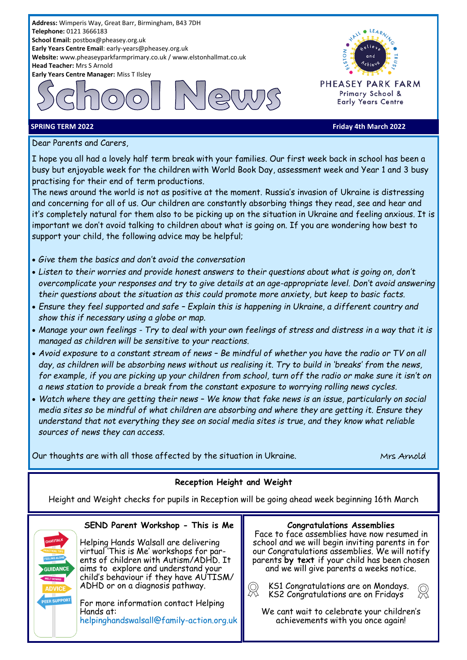

**GUIDANCE** 

**FFR SUPPORT** 

**SPRING TERM 2022 Friday 4th March 2022**

Dear Parents and Carers,

I hope you all had a lovely half term break with your families. Our first week back in school has been a busy but enjoyable week for the children with World Book Day, assessment week and Year 1 and 3 busy practising for their end of term productions.

The news around the world is not as positive at the moment. Russia's invasion of Ukraine is distressing and concerning for all of us. Our children are constantly absorbing things they read, see and hear and it's completely natural for them also to be picking up on the situation in Ukraine and feeling anxious. It is important we don't avoid talking to children about what is going on. If you are wondering how best to support your child, the following advice may be helpful;

- *Give them the basics and don't avoid the conversation*
- *Listen to their worries and provide honest answers to their questions about what is going on, don't overcomplicate your responses and try to give details at an age-appropriate level. Don't avoid answering their questions about the situation as this could promote more anxiety, but keep to basic facts.*
- *Ensure they feel supported and safe – Explain this is happening in Ukraine, a different country and show this if necessary using a globe or map.*
- *Manage your own feelings - Try to deal with your own feelings of stress and distress in a way that it is managed as children will be sensitive to your reactions.*
- *Avoid exposure to a constant stream of news – Be mindful of whether you have the radio or TV on all day, as children will be absorbing news without us realising it. Try to build in 'breaks' from the news, for example, if you are picking up your children from school, turn off the radio or make sure it isn't on a news station to provide a break from the constant exposure to worrying rolling news cycles.*
- *Watch where they are getting their news – We know that fake news is an issue, particularly on social media sites so be mindful of what children are absorbing and where they are getting it. Ensure they understand that not everything they see on social media sites is true, and they know what reliable sources of news they can access.*

Our thoughts are with all those affected by the situation in Ukraine. Most Mrs Arnold

# **Reception Height and Weight**

Height and Weight checks for pupils in Reception will be going ahead week beginning 16th March

 $\mathbb{R}$ 

# **SEND Parent Workshop - This is Me**

Helping Hands Walsall are delivering virtual 'This is Me' workshops for parents of children with Autism/ADHD. It aims to explore and understand your child's behaviour if they have AUTISM/ ADHD or on a diagnosis pathway.

For more information contact Helping Hands at: helpinghandswalsall@family-action.org.uk

### **Congratulations Assemblies**

Face to face assemblies have now resumed in school and we will begin inviting parents in for our Congratulations assemblies. We will notify parents **by text** if your child has been chosen and we will give parents a weeks notice.

 KS1 Congratulations are on Mondays. KS2 Congratulations are on Fridays

We cant wait to celebrate your children's achievements with you once again!